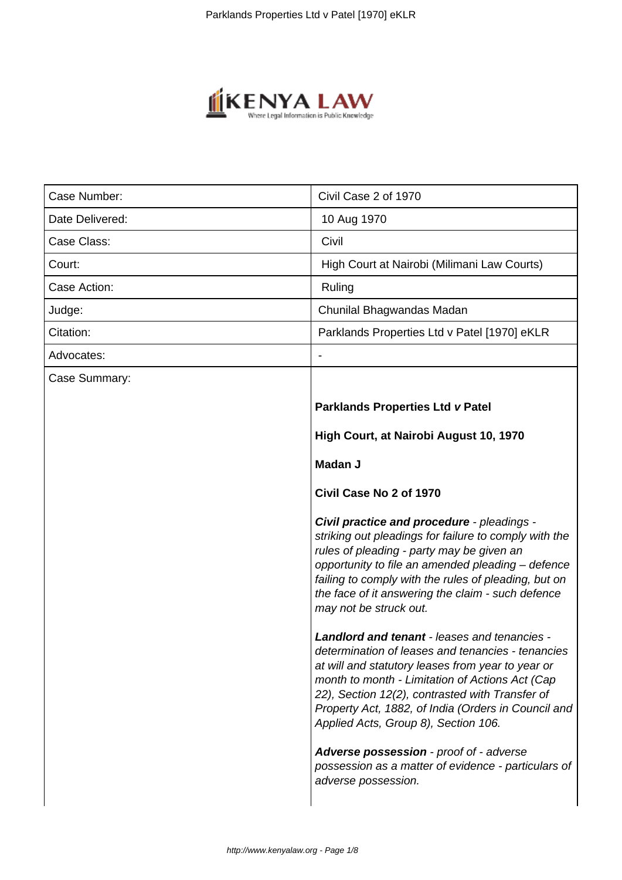

| Case Number:    | Civil Case 2 of 1970                                                                                                                                                                                                                                                                                                                                               |
|-----------------|--------------------------------------------------------------------------------------------------------------------------------------------------------------------------------------------------------------------------------------------------------------------------------------------------------------------------------------------------------------------|
| Date Delivered: | 10 Aug 1970                                                                                                                                                                                                                                                                                                                                                        |
| Case Class:     | Civil                                                                                                                                                                                                                                                                                                                                                              |
| Court:          | High Court at Nairobi (Milimani Law Courts)                                                                                                                                                                                                                                                                                                                        |
| Case Action:    | Ruling                                                                                                                                                                                                                                                                                                                                                             |
| Judge:          | Chunilal Bhagwandas Madan                                                                                                                                                                                                                                                                                                                                          |
| Citation:       | Parklands Properties Ltd v Patel [1970] eKLR                                                                                                                                                                                                                                                                                                                       |
| Advocates:      |                                                                                                                                                                                                                                                                                                                                                                    |
| Case Summary:   |                                                                                                                                                                                                                                                                                                                                                                    |
|                 | <b>Parklands Properties Ltd v Patel</b>                                                                                                                                                                                                                                                                                                                            |
|                 | High Court, at Nairobi August 10, 1970                                                                                                                                                                                                                                                                                                                             |
|                 | Madan J                                                                                                                                                                                                                                                                                                                                                            |
|                 | Civil Case No 2 of 1970                                                                                                                                                                                                                                                                                                                                            |
|                 | Civil practice and procedure - pleadings -<br>striking out pleadings for failure to comply with the<br>rules of pleading - party may be given an<br>opportunity to file an amended pleading - defence<br>failing to comply with the rules of pleading, but on<br>the face of it answering the claim - such defence<br>may not be struck out.                       |
|                 | <b>Landlord and tenant - leases and tenancies -</b><br>determination of leases and tenancies - tenancies<br>at will and statutory leases from year to year or<br>month to month - Limitation of Actions Act (Cap<br>22), Section 12(2), contrasted with Transfer of<br>Property Act, 1882, of India (Orders in Council and<br>Applied Acts, Group 8), Section 106. |
|                 | Adverse possession - proof of - adverse<br>possession as a matter of evidence - particulars of<br>adverse possession.                                                                                                                                                                                                                                              |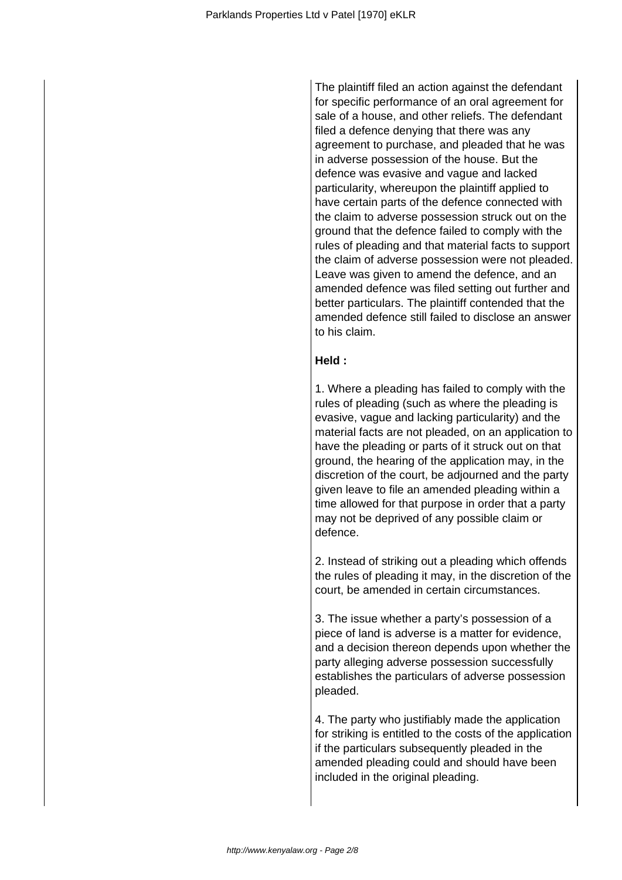The plaintiff filed an action against the defendant for specific performance of an oral agreement for sale of a house, and other reliefs. The defendant filed a defence denying that there was any agreement to purchase, and pleaded that he was in adverse possession of the house. But the defence was evasive and vague and lacked particularity, whereupon the plaintiff applied to have certain parts of the defence connected with the claim to adverse possession struck out on the ground that the defence failed to comply with the rules of pleading and that material facts to support the claim of adverse possession were not pleaded. Leave was given to amend the defence, and an amended defence was filed setting out further and better particulars. The plaintiff contended that the amended defence still failed to disclose an answer to his claim.

#### **Held :**

1. Where a pleading has failed to comply with the rules of pleading (such as where the pleading is evasive, vague and lacking particularity) and the material facts are not pleaded, on an application to have the pleading or parts of it struck out on that ground, the hearing of the application may, in the discretion of the court, be adjourned and the party given leave to file an amended pleading within a time allowed for that purpose in order that a party may not be deprived of any possible claim or defence.

2. Instead of striking out a pleading which offends the rules of pleading it may, in the discretion of the court, be amended in certain circumstances.

3. The issue whether a party's possession of a piece of land is adverse is a matter for evidence, and a decision thereon depends upon whether the party alleging adverse possession successfully establishes the particulars of adverse possession pleaded.

4. The party who justifiably made the application for striking is entitled to the costs of the application if the particulars subsequently pleaded in the amended pleading could and should have been included in the original pleading.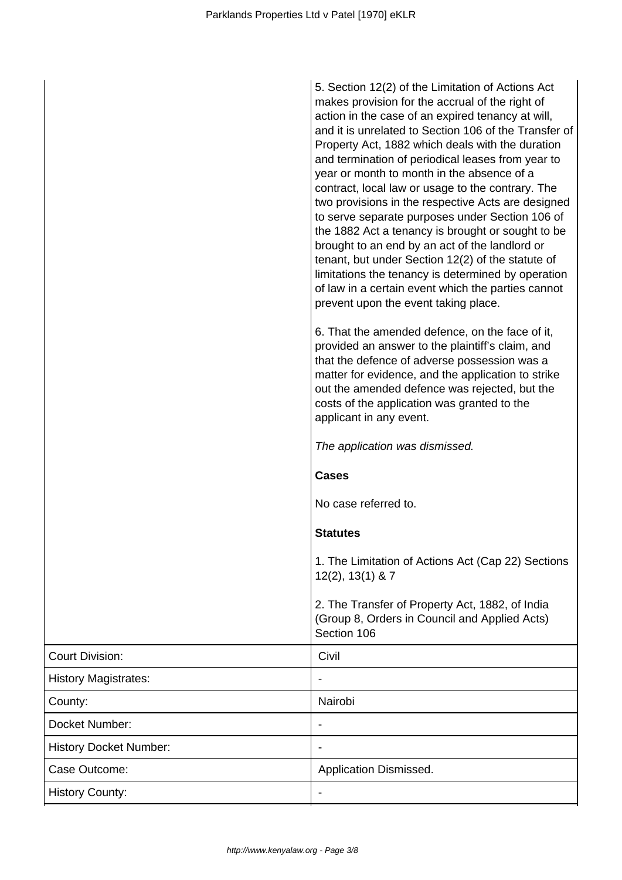|                               | 5. Section 12(2) of the Limitation of Actions Act<br>makes provision for the accrual of the right of<br>action in the case of an expired tenancy at will,<br>and it is unrelated to Section 106 of the Transfer of<br>Property Act, 1882 which deals with the duration<br>and termination of periodical leases from year to<br>year or month to month in the absence of a<br>contract, local law or usage to the contrary. The<br>two provisions in the respective Acts are designed<br>to serve separate purposes under Section 106 of<br>the 1882 Act a tenancy is brought or sought to be<br>brought to an end by an act of the landlord or<br>tenant, but under Section 12(2) of the statute of<br>limitations the tenancy is determined by operation<br>of law in a certain event which the parties cannot<br>prevent upon the event taking place. |
|-------------------------------|---------------------------------------------------------------------------------------------------------------------------------------------------------------------------------------------------------------------------------------------------------------------------------------------------------------------------------------------------------------------------------------------------------------------------------------------------------------------------------------------------------------------------------------------------------------------------------------------------------------------------------------------------------------------------------------------------------------------------------------------------------------------------------------------------------------------------------------------------------|
|                               | 6. That the amended defence, on the face of it,<br>provided an answer to the plaintiff's claim, and<br>that the defence of adverse possession was a<br>matter for evidence, and the application to strike<br>out the amended defence was rejected, but the<br>costs of the application was granted to the<br>applicant in any event.                                                                                                                                                                                                                                                                                                                                                                                                                                                                                                                    |
|                               | The application was dismissed.                                                                                                                                                                                                                                                                                                                                                                                                                                                                                                                                                                                                                                                                                                                                                                                                                          |
|                               | <b>Cases</b>                                                                                                                                                                                                                                                                                                                                                                                                                                                                                                                                                                                                                                                                                                                                                                                                                                            |
|                               | No case referred to.                                                                                                                                                                                                                                                                                                                                                                                                                                                                                                                                                                                                                                                                                                                                                                                                                                    |
|                               | <b>Statutes</b>                                                                                                                                                                                                                                                                                                                                                                                                                                                                                                                                                                                                                                                                                                                                                                                                                                         |
|                               | 1. The Limitation of Actions Act (Cap 22) Sections<br>$12(2)$ , $13(1)$ & 7                                                                                                                                                                                                                                                                                                                                                                                                                                                                                                                                                                                                                                                                                                                                                                             |
|                               | 2. The Transfer of Property Act, 1882, of India<br>(Group 8, Orders in Council and Applied Acts)<br>Section 106                                                                                                                                                                                                                                                                                                                                                                                                                                                                                                                                                                                                                                                                                                                                         |
| <b>Court Division:</b>        | Civil                                                                                                                                                                                                                                                                                                                                                                                                                                                                                                                                                                                                                                                                                                                                                                                                                                                   |
| <b>History Magistrates:</b>   |                                                                                                                                                                                                                                                                                                                                                                                                                                                                                                                                                                                                                                                                                                                                                                                                                                                         |
| County:                       | Nairobi                                                                                                                                                                                                                                                                                                                                                                                                                                                                                                                                                                                                                                                                                                                                                                                                                                                 |
| Docket Number:                |                                                                                                                                                                                                                                                                                                                                                                                                                                                                                                                                                                                                                                                                                                                                                                                                                                                         |
| <b>History Docket Number:</b> |                                                                                                                                                                                                                                                                                                                                                                                                                                                                                                                                                                                                                                                                                                                                                                                                                                                         |
| Case Outcome:                 | Application Dismissed.                                                                                                                                                                                                                                                                                                                                                                                                                                                                                                                                                                                                                                                                                                                                                                                                                                  |
| <b>History County:</b>        |                                                                                                                                                                                                                                                                                                                                                                                                                                                                                                                                                                                                                                                                                                                                                                                                                                                         |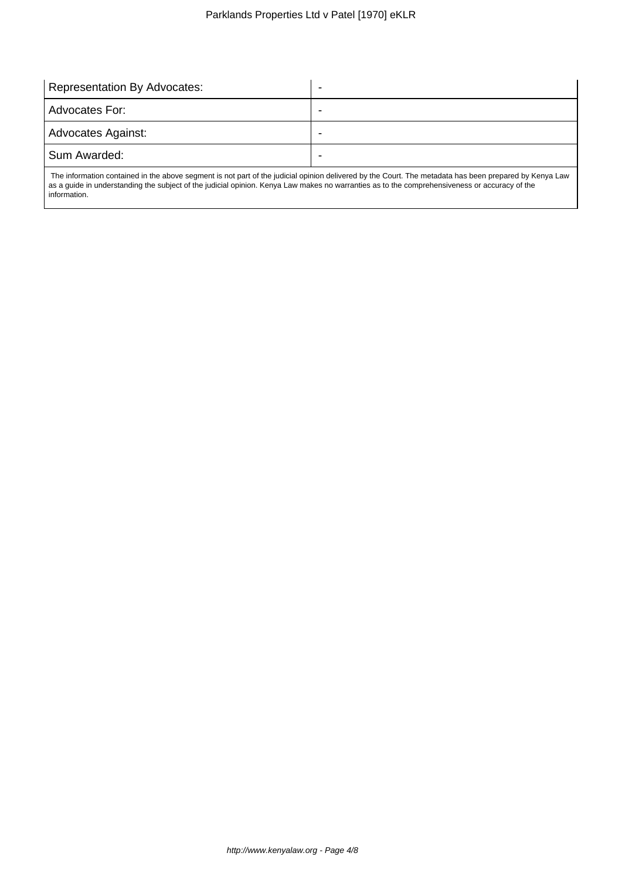| Representation By Advocates: |   |
|------------------------------|---|
| l Advocates For:             |   |
| Advocates Against:           | - |
| Sum Awarded:                 |   |
|                              |   |

 The information contained in the above segment is not part of the judicial opinion delivered by the Court. The metadata has been prepared by Kenya Law as a guide in understanding the subject of the judicial opinion. Kenya Law makes no warranties as to the comprehensiveness or accuracy of the information.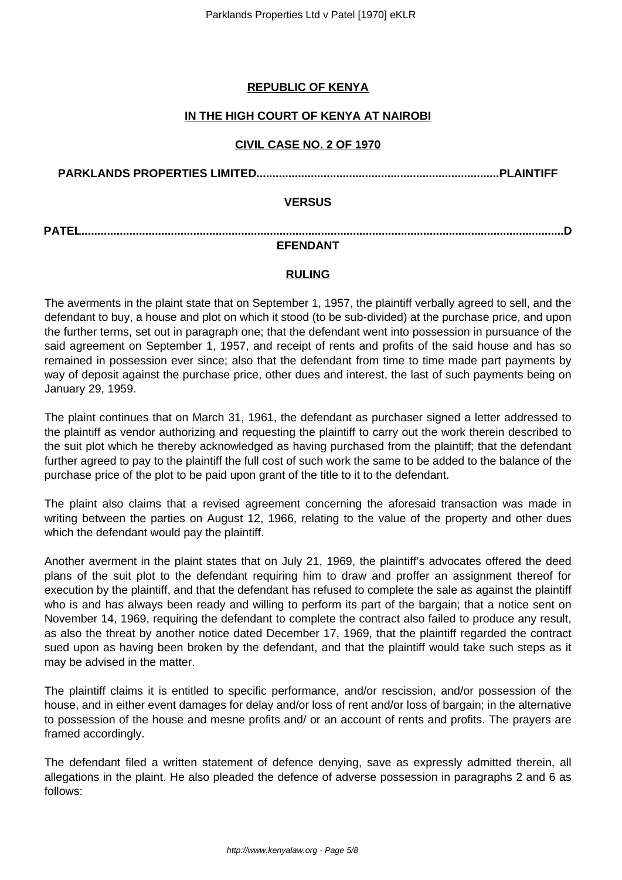## **REPUBLIC OF KENYA**

## **IN THE HIGH COURT OF KENYA AT NAIROBI**

## **CIVIL CASE NO. 2 OF 1970**

**PARKLANDS PROPERTIES LIMITED............................................................................PLAINTIFF**

### **VERSUS**

**PATEL.......................................................................................................................................................D**

# **EFENDANT**

## **RULING**

The averments in the plaint state that on September 1, 1957, the plaintiff verbally agreed to sell, and the defendant to buy, a house and plot on which it stood (to be sub-divided) at the purchase price, and upon the further terms, set out in paragraph one; that the defendant went into possession in pursuance of the said agreement on September 1, 1957, and receipt of rents and profits of the said house and has so remained in possession ever since; also that the defendant from time to time made part payments by way of deposit against the purchase price, other dues and interest, the last of such payments being on January 29, 1959.

The plaint continues that on March 31, 1961, the defendant as purchaser signed a letter addressed to the plaintiff as vendor authorizing and requesting the plaintiff to carry out the work therein described to the suit plot which he thereby acknowledged as having purchased from the plaintiff; that the defendant further agreed to pay to the plaintiff the full cost of such work the same to be added to the balance of the purchase price of the plot to be paid upon grant of the title to it to the defendant.

The plaint also claims that a revised agreement concerning the aforesaid transaction was made in writing between the parties on August 12, 1966, relating to the value of the property and other dues which the defendant would pay the plaintiff.

Another averment in the plaint states that on July 21, 1969, the plaintiff's advocates offered the deed plans of the suit plot to the defendant requiring him to draw and proffer an assignment thereof for execution by the plaintiff, and that the defendant has refused to complete the sale as against the plaintiff who is and has always been ready and willing to perform its part of the bargain; that a notice sent on November 14, 1969, requiring the defendant to complete the contract also failed to produce any result, as also the threat by another notice dated December 17, 1969, that the plaintiff regarded the contract sued upon as having been broken by the defendant, and that the plaintiff would take such steps as it may be advised in the matter.

The plaintiff claims it is entitled to specific performance, and/or rescission, and/or possession of the house, and in either event damages for delay and/or loss of rent and/or loss of bargain; in the alternative to possession of the house and mesne profits and/ or an account of rents and profits. The prayers are framed accordingly.

The defendant filed a written statement of defence denying, save as expressly admitted therein, all allegations in the plaint. He also pleaded the defence of adverse possession in paragraphs 2 and 6 as follows: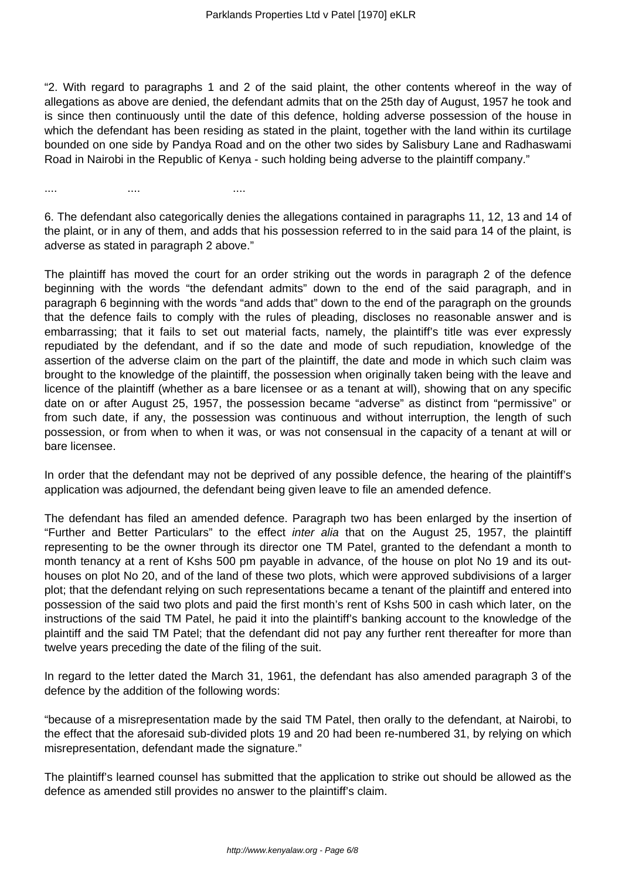"2. With regard to paragraphs 1 and 2 of the said plaint, the other contents whereof in the way of allegations as above are denied, the defendant admits that on the 25th day of August, 1957 he took and is since then continuously until the date of this defence, holding adverse possession of the house in which the defendant has been residing as stated in the plaint, together with the land within its curtilage bounded on one side by Pandya Road and on the other two sides by Salisbury Lane and Radhaswami Road in Nairobi in the Republic of Kenya - such holding being adverse to the plaintiff company."

6. The defendant also categorically denies the allegations contained in paragraphs 11, 12, 13 and 14 of the plaint, or in any of them, and adds that his possession referred to in the said para 14 of the plaint, is adverse as stated in paragraph 2 above."

.... .... ....

The plaintiff has moved the court for an order striking out the words in paragraph 2 of the defence beginning with the words "the defendant admits" down to the end of the said paragraph, and in paragraph 6 beginning with the words "and adds that" down to the end of the paragraph on the grounds that the defence fails to comply with the rules of pleading, discloses no reasonable answer and is embarrassing; that it fails to set out material facts, namely, the plaintiff's title was ever expressly repudiated by the defendant, and if so the date and mode of such repudiation, knowledge of the assertion of the adverse claim on the part of the plaintiff, the date and mode in which such claim was brought to the knowledge of the plaintiff, the possession when originally taken being with the leave and licence of the plaintiff (whether as a bare licensee or as a tenant at will), showing that on any specific date on or after August 25, 1957, the possession became "adverse" as distinct from "permissive" or from such date, if any, the possession was continuous and without interruption, the length of such possession, or from when to when it was, or was not consensual in the capacity of a tenant at will or bare licensee.

In order that the defendant may not be deprived of any possible defence, the hearing of the plaintiff's application was adjourned, the defendant being given leave to file an amended defence.

The defendant has filed an amended defence. Paragraph two has been enlarged by the insertion of "Further and Better Particulars" to the effect inter alia that on the August 25, 1957, the plaintiff representing to be the owner through its director one TM Patel, granted to the defendant a month to month tenancy at a rent of Kshs 500 pm payable in advance, of the house on plot No 19 and its outhouses on plot No 20, and of the land of these two plots, which were approved subdivisions of a larger plot; that the defendant relying on such representations became a tenant of the plaintiff and entered into possession of the said two plots and paid the first month's rent of Kshs 500 in cash which later, on the instructions of the said TM Patel, he paid it into the plaintiff's banking account to the knowledge of the plaintiff and the said TM Patel; that the defendant did not pay any further rent thereafter for more than twelve years preceding the date of the filing of the suit.

In regard to the letter dated the March 31, 1961, the defendant has also amended paragraph 3 of the defence by the addition of the following words:

"because of a misrepresentation made by the said TM Patel, then orally to the defendant, at Nairobi, to the effect that the aforesaid sub-divided plots 19 and 20 had been re-numbered 31, by relying on which misrepresentation, defendant made the signature."

The plaintiff's learned counsel has submitted that the application to strike out should be allowed as the defence as amended still provides no answer to the plaintiff's claim.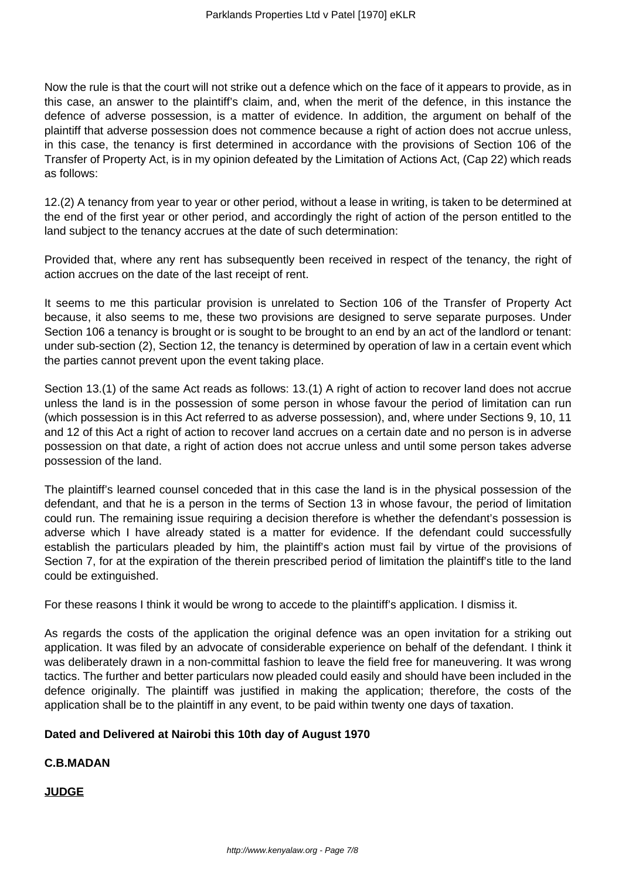Now the rule is that the court will not strike out a defence which on the face of it appears to provide, as in this case, an answer to the plaintiff's claim, and, when the merit of the defence, in this instance the defence of adverse possession, is a matter of evidence. In addition, the argument on behalf of the plaintiff that adverse possession does not commence because a right of action does not accrue unless, in this case, the tenancy is first determined in accordance with the provisions of Section 106 of the Transfer of Property Act, is in my opinion defeated by the Limitation of Actions Act, (Cap 22) which reads as follows:

12.(2) A tenancy from year to year or other period, without a lease in writing, is taken to be determined at the end of the first year or other period, and accordingly the right of action of the person entitled to the land subject to the tenancy accrues at the date of such determination:

Provided that, where any rent has subsequently been received in respect of the tenancy, the right of action accrues on the date of the last receipt of rent.

It seems to me this particular provision is unrelated to Section 106 of the Transfer of Property Act because, it also seems to me, these two provisions are designed to serve separate purposes. Under Section 106 a tenancy is brought or is sought to be brought to an end by an act of the landlord or tenant: under sub-section (2), Section 12, the tenancy is determined by operation of law in a certain event which the parties cannot prevent upon the event taking place.

Section 13.(1) of the same Act reads as follows: 13.(1) A right of action to recover land does not accrue unless the land is in the possession of some person in whose favour the period of limitation can run (which possession is in this Act referred to as adverse possession), and, where under Sections 9, 10, 11 and 12 of this Act a right of action to recover land accrues on a certain date and no person is in adverse possession on that date, a right of action does not accrue unless and until some person takes adverse possession of the land.

The plaintiff's learned counsel conceded that in this case the land is in the physical possession of the defendant, and that he is a person in the terms of Section 13 in whose favour, the period of limitation could run. The remaining issue requiring a decision therefore is whether the defendant's possession is adverse which I have already stated is a matter for evidence. If the defendant could successfully establish the particulars pleaded by him, the plaintiff's action must fail by virtue of the provisions of Section 7, for at the expiration of the therein prescribed period of limitation the plaintiff's title to the land could be extinguished.

For these reasons I think it would be wrong to accede to the plaintiff's application. I dismiss it.

As regards the costs of the application the original defence was an open invitation for a striking out application. It was filed by an advocate of considerable experience on behalf of the defendant. I think it was deliberately drawn in a non-committal fashion to leave the field free for maneuvering. It was wrong tactics. The further and better particulars now pleaded could easily and should have been included in the defence originally. The plaintiff was justified in making the application; therefore, the costs of the application shall be to the plaintiff in any event, to be paid within twenty one days of taxation.

### **Dated and Delivered at Nairobi this 10th day of August 1970**

### **C.B.MADAN**

**JUDGE**